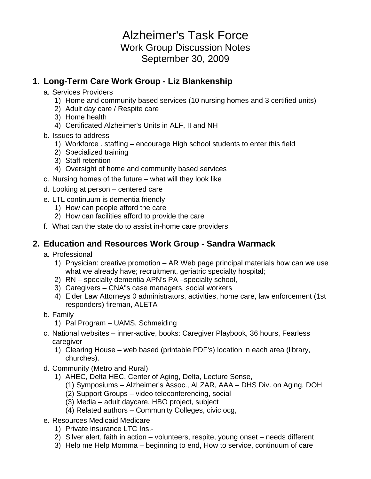# Alzheimer's Task Force Work Group Discussion Notes September 30, 2009

### **1. Long-Term Care Work Group - Liz Blankenship**

- a. Services Providers
	- 1) Home and community based services (10 nursing homes and 3 certified units)
	- 2) Adult day care / Respite care
	- 3) Home health
	- 4) Certificated Alzheimer's Units in ALF, II and NH
- b. Issues to address
	- 1) Workforce . staffing encourage High school students to enter this field
	- 2) Specialized training
	- 3) Staff retention
	- 4) Oversight of home and community based services
- c. Nursing homes of the future what will they look like
- d. Looking at person centered care
- e. LTL continuum is dementia friendly
	- 1) How can people afford the care
	- 2) How can facilities afford to provide the care
- f. What can the state do to assist in-home care providers

#### **2. Education and Resources Work Group - Sandra Warmack**

- a. Professional
	- 1) Physician: creative promotion AR Web page principal materials how can we use what we already have; recruitment, geriatric specialty hospital;
	- 2) RN specialty dementia APN's PA –specialty school,
	- 3) Caregivers CNA"s case managers, social workers
	- 4) Elder Law Attorneys 0 administrators, activities, home care, law enforcement (1st responders) fireman, ALETA
- b. Family
	- 1) Pal Program UAMS, Schmeiding
- c. National websites inner-active, books: Caregiver Playbook, 36 hours, Fearless caregiver
	- 1) Clearing House web based (printable PDF's) location in each area (library, churches).
- d. Community (Metro and Rural)
	- 1) AHEC, Delta HEC, Center of Aging, Delta, Lecture Sense,
		- (1) Symposiums Alzheimer's Assoc., ALZAR, AAA DHS Div. on Aging, DOH
		- (2) Support Groups video teleconferencing, social
		- (3) Media adult daycare, HBO project, subject
		- (4) Related authors Community Colleges, civic ocg,
- e. Resources Medicaid Medicare
	- 1) Private insurance LTC Ins.-
	- 2) Silver alert, faith in action volunteers, respite, young onset needs different
	- 3) Help me Help Momma beginning to end, How to service, continuum of care